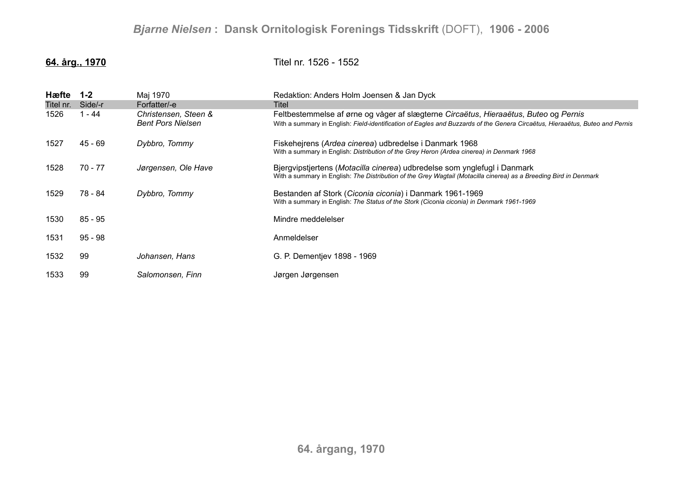**64. årg., 1970** Titel nr. 1526 - 1552

| Hæfte<br>Titel nr.<br>1526 | $1 - 2$<br>Side/-r<br>1 - 44 | Maj 1970<br>Forfatter/-e<br>Christensen, Steen & | Redaktion: Anders Holm Joensen & Jan Dyck<br><b>Titel</b><br>Feltbestemmelse af ørne og våger af slægterne Circaëtus, Hieraaëtus, Buteo og Pernis                                             |
|----------------------------|------------------------------|--------------------------------------------------|-----------------------------------------------------------------------------------------------------------------------------------------------------------------------------------------------|
|                            |                              | <b>Bent Pors Nielsen</b>                         | With a summary in English: Field-identification of Eagles and Buzzards of the Genera Circaëtus, Hieraaëtus, Buteo and Pernis                                                                  |
| 1527                       | 45 - 69                      | Dybbro, Tommy                                    | Fiskehejrens (Ardea cinerea) udbredelse i Danmark 1968<br>With a summary in English: Distribution of the Grey Heron (Ardea cinerea) in Denmark 1968                                           |
| 1528                       | 70 - 77                      | Jørgensen, Ole Have                              | Bjergvipstjertens (Motacilla cinerea) udbredelse som ynglefugl i Danmark<br>With a summary in English: The Distribution of the Grey Wagtail (Motacilla cinerea) as a Breeding Bird in Denmark |
| 1529                       | 78 - 84                      | Dybbro, Tommy                                    | Bestanden af Stork (Ciconia ciconia) i Danmark 1961-1969<br>With a summary in English: The Status of the Stork (Ciconia ciconia) in Denmark 1961-1969                                         |
| 1530                       | $85 - 95$                    |                                                  | Mindre meddelelser                                                                                                                                                                            |
| 1531                       | $95 - 98$                    |                                                  | Anmeldelser                                                                                                                                                                                   |
| 1532                       | 99                           | Johansen, Hans                                   | G. P. Dementjev 1898 - 1969                                                                                                                                                                   |
| 1533                       | 99                           | Salomonsen, Finn                                 | Jørgen Jørgensen                                                                                                                                                                              |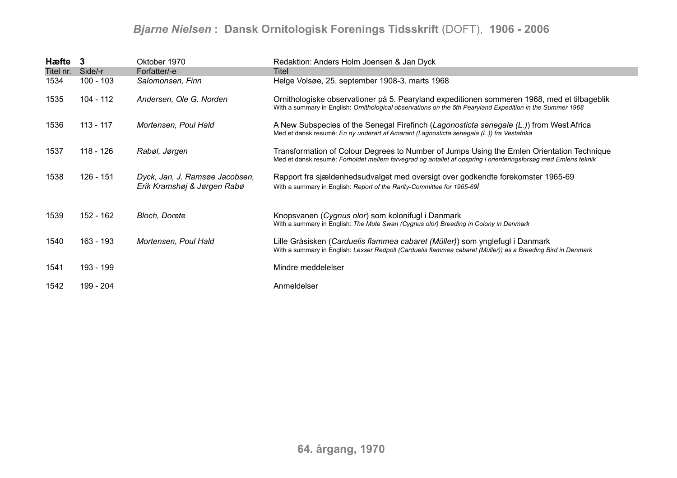## *Bjarne Nielsen* **: Dansk Ornitologisk Forenings Tidsskrift** (DOFT), **1906 - 2006**

| Hæfte 3   |             | Oktober 1970                                                  | Redaktion: Anders Holm Joensen & Jan Dyck                                                                                                                                                                   |
|-----------|-------------|---------------------------------------------------------------|-------------------------------------------------------------------------------------------------------------------------------------------------------------------------------------------------------------|
| Titel nr. | Side/-r     | Forfatter/-e                                                  | Titel                                                                                                                                                                                                       |
| 1534      | $100 - 103$ | Salomonsen, Finn                                              | Helge Volsøe, 25. september 1908-3. marts 1968                                                                                                                                                              |
| 1535      | 104 - 112   | Andersen, Ole G. Norden                                       | Ornithologiske observationer på 5. Pearyland expeditionen sommeren 1968, med et tilbageblik<br>With a summary in English: Ornithological observations on the 5th Pearyland Expedition in the Summer 1968    |
| 1536      | $113 - 117$ | Mortensen, Poul Hald                                          | A New Subspecies of the Senegal Firefinch (Lagonosticta senegale (L.)) from West Africa<br>Med et dansk resumé: En ny underart af Amarant (Lagnosticta senegala (L.)) fra Vestafrika                        |
| 1537      | 118 - 126   | Rabøl, Jørgen                                                 | Transformation of Colour Degrees to Number of Jumps Using the Emlen Orientation Technique<br>Med et dansk resumé: Forholdet mellem farvegrad og antallet af opspring i orienteringsforsøg med Emlens teknik |
| 1538      | 126 - 151   | Dyck, Jan, J. Ramsøe Jacobsen,<br>Erik Kramshøj & Jørgen Rabø | Rapport fra sjældenhedsudvalget med oversigt over godkendte forekomster 1965-69<br>With a summary in English: Report of the Rarity-Committee for 1965-69                                                    |
| 1539      | 152 - 162   | <b>Bloch, Dorete</b>                                          | Knopsvanen (Cygnus olor) som kolonifugl i Danmark<br>With a summary in English: The Mute Swan (Cygnus olor) Breeding in Colony in Denmark                                                                   |
| 1540      | 163 - 193   | Mortensen, Poul Hald                                          | Lille Gråsisken (Carduelis flammea cabaret (Müller)) som ynglefugl i Danmark<br>With a summary in English: Lesser Redpoll (Carduelis flammea cabaret (Müller)) as a Breeding Bird in Denmark                |
| 1541      | 193 - 199   |                                                               | Mindre meddelelser                                                                                                                                                                                          |
| 1542      | 199 - 204   |                                                               | Anmeldelser                                                                                                                                                                                                 |